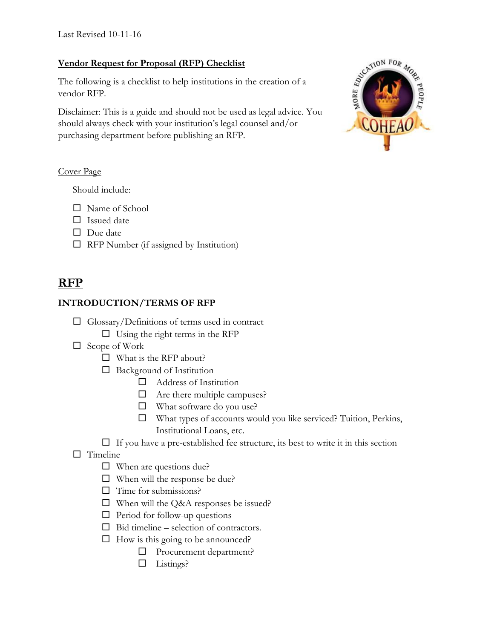### **Vendor Request for Proposal (RFP) Checklist**

The following is a checklist to help institutions in the creation of a vendor RFP.

Disclaimer: This is a guide and should not be used as legal advice. You should always check with your institution's legal counsel and/or purchasing department before publishing an RFP.

#### Cover Page

Should include:

- □ Name of School
- $\Box$  Issued date
- $\Box$  Due date
- $\Box$  RFP Number (if assigned by Institution)

# **RFP**

### **INTRODUCTION/TERMS OF RFP**

- $\Box$  Glossary/Definitions of terms used in contract
	- $\Box$  Using the right terms in the RFP
- $\Box$  Scope of Work
	- $\Box$  What is the RFP about?
	- $\Box$  Background of Institution
		- Address of Institution
		- $\Box$  Are there multiple campuses?
		- □ What software do you use?
		- What types of accounts would you like serviced? Tuition, Perkins, Institutional Loans, etc.
	- $\Box$  If you have a pre-established fee structure, its best to write it in this section
- $\Box$  Timeline
	- $\Box$  When are questions due?
	- $\Box$  When will the response be due?
	- $\Box$  Time for submissions?
	- □ When will the Q&A responses be issued?
	- $\Box$  Period for follow-up questions
	- $\Box$  Bid timeline selection of contractors.
	- $\Box$  How is this going to be announced?
		- □ Procurement department?
		- $\Box$  Listings?

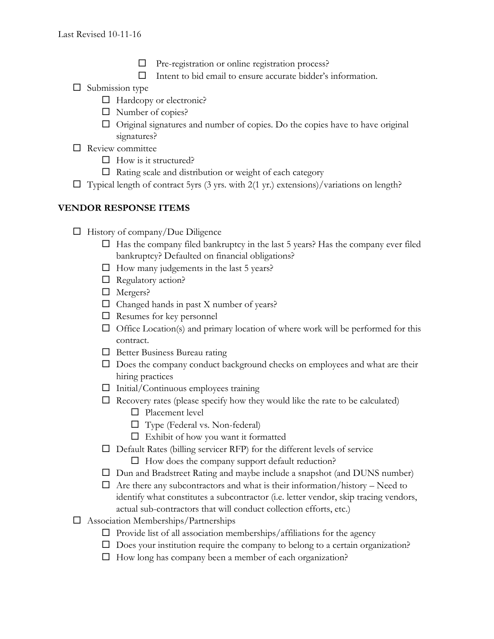- Pre-registration or online registration process?
- $\Box$  Intent to bid email to ensure accurate bidder's information.
- $\Box$  Submission type
	- $\Box$  Hardcopy or electronic?
	- $\Box$  Number of copies?
	- Original signatures and number of copies. Do the copies have to have original signatures?
- $\Box$  Review committee
	- $\Box$  How is it structured?
	- $\Box$  Rating scale and distribution or weight of each category
- $\Box$  Typical length of contract 5yrs (3 yrs. with 2(1 yr.) extensions)/variations on length?

## **VENDOR RESPONSE ITEMS**

- $\Box$  History of company/Due Diligence
	- $\Box$  Has the company filed bankruptcy in the last 5 years? Has the company ever filed bankruptcy? Defaulted on financial obligations?
	- $\Box$  How many judgements in the last 5 years?
	- $\Box$  Regulatory action?
	- □ Mergers?
	- $\Box$  Changed hands in past X number of years?
	- $\Box$  Resumes for key personnel
	- $\Box$  Office Location(s) and primary location of where work will be performed for this contract.
	- $\Box$  Better Business Bureau rating
	- $\square$  Does the company conduct background checks on employees and what are their hiring practices
	- $\Box$  Initial/Continuous employees training
	- $\Box$  Recovery rates (please specify how they would like the rate to be calculated)
		- □ Placement level
		- Type (Federal vs. Non-federal)
		- $\Box$  Exhibit of how you want it formatted
	- $\Box$  Default Rates (billing servicer RFP) for the different levels of service
		- $\Box$  How does the company support default reduction?
	- Dun and Bradstreet Rating and maybe include a snapshot (and DUNS number)
	- $\Box$  Are there any subcontractors and what is their information/history Need to identify what constitutes a subcontractor (i.e. letter vendor, skip tracing vendors, actual sub-contractors that will conduct collection efforts, etc.)
- Association Memberships/Partnerships
	- $\Box$  Provide list of all association memberships/affiliations for the agency
	- $\square$  Does your institution require the company to belong to a certain organization?
	- $\Box$  How long has company been a member of each organization?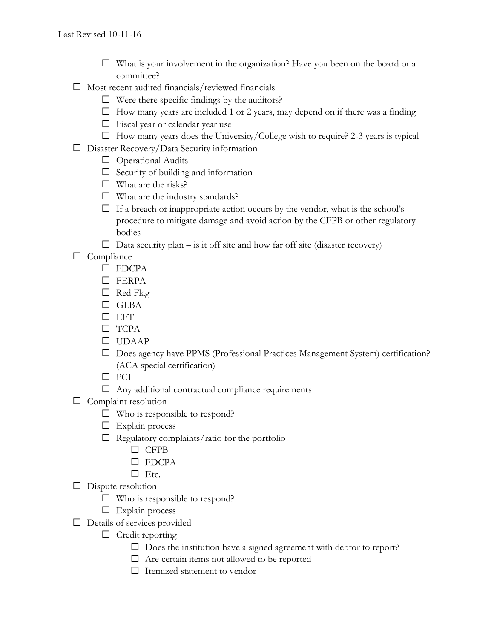- $\Box$  What is your involvement in the organization? Have you been on the board or a committee?
- $\square$  Most recent audited financials/reviewed financials
	- $\Box$  Were there specific findings by the auditors?
	- $\Box$  How many years are included 1 or 2 years, may depend on if there was a finding
	- $\Box$  Fiscal year or calendar year use
	- $\Box$  How many years does the University/College wish to require? 2-3 years is typical
- □ Disaster Recovery/Data Security information
	- $\Box$  Operational Audits
	- $\Box$  Security of building and information
	- $\Box$  What are the risks?
	- $\Box$  What are the industry standards?
	- $\Box$  If a breach or inappropriate action occurs by the vendor, what is the school's procedure to mitigate damage and avoid action by the CFPB or other regulatory bodies
	- $\Box$  Data security plan is it off site and how far off site (disaster recovery)

 $\Box$  Compliance

- □ FDCPA
- $\square$  FERPA
- $\Box$  Red Flag
- □ GLBA
- $\square$  EFT
- □ TCPA
- UDAAP
- $\square$  Does agency have PPMS (Professional Practices Management System) certification? (ACA special certification)
- $\square$  PCI
- $\Box$  Any additional contractual compliance requirements
- $\Box$  Complaint resolution
	- □ Who is responsible to respond?
	- $\Box$  Explain process
	- $\Box$  Regulatory complaints/ratio for the portfolio
		- □ CFPB
		- $\square$  FDCPA
		- $\Box$  Etc.
- $\Box$  Dispute resolution
	- $\Box$  Who is responsible to respond?
	- $\Box$  Explain process
- $\Box$  Details of services provided
	- $\Box$  Credit reporting
		- $\square$  Does the institution have a signed agreement with debtor to report?
		- $\Box$  Are certain items not allowed to be reported
		- $\Box$  Itemized statement to vendor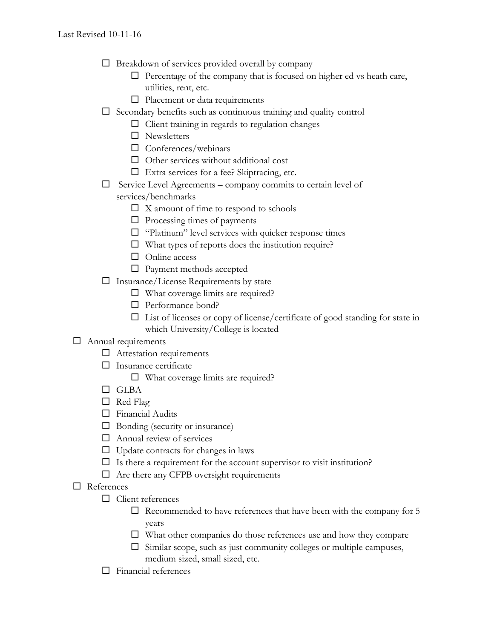- $\Box$  Breakdown of services provided overall by company
	- $\Box$  Percentage of the company that is focused on higher ed vs heath care, utilities, rent, etc.
	- $\Box$  Placement or data requirements
- $\square$  Secondary benefits such as continuous training and quality control
	- $\Box$  Client training in regards to regulation changes
	- □ Newsletters
	- $\Box$  Conferences/webinars
	- $\Box$  Other services without additional cost
	- Extra services for a fee? Skiptracing, etc.
- $\Box$  Service Level Agreements company commits to certain level of
	- services/benchmarks
		- $\square$  X amount of time to respond to schools
		- $\Box$  Processing times of payments
		- $\Box$  "Platinum" level services with quicker response times
		- $\Box$  What types of reports does the institution require?
		- □ Online access
		- □ Payment methods accepted
- $\Box$  Insurance/License Requirements by state
	- $\Box$  What coverage limits are required?
	- □ Performance bond?
	- $\Box$  List of licenses or copy of license/certificate of good standing for state in which University/College is located

## Annual requirements

- $\Box$  Attestation requirements
- $\square$  Insurance certificate
	- $\Box$  What coverage limits are required?
- □ GLBA
- $\Box$  Red Flag
- Financial Audits
- $\Box$  Bonding (security or insurance)
- $\Box$  Annual review of services
- $\Box$  Update contracts for changes in laws
- $\Box$  Is there a requirement for the account supervisor to visit institution?
- $\Box$  Are there any CFPB oversight requirements
- References
	- □ Client references
		- $\square$  Recommended to have references that have been with the company for 5 years
		- $\square$  What other companies do those references use and how they compare
		- $\square$  Similar scope, such as just community colleges or multiple campuses, medium sized, small sized, etc.
	- $\Box$  Financial references